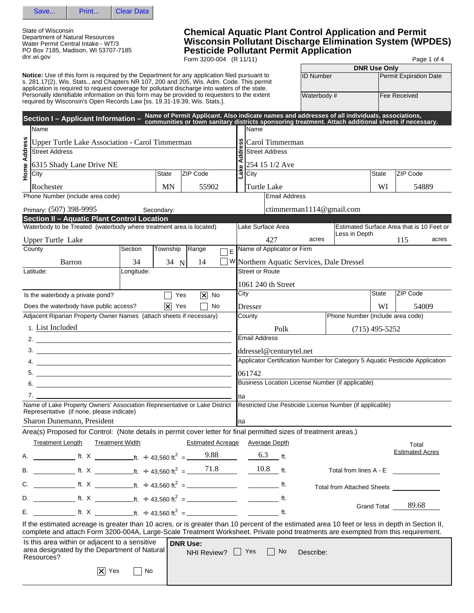

State of Wisconsin Department of Natural Resources Water Permit Central Intake - WT/3 PO Box 7185, Madison, WI 53707-7185 dnr.wi.gov

## **Chemical Aquatic Plant Control Application and Permit Wisconsin Pollutant Discharge Elimination System (WPDES) Pesticide Pollutant Permit Application**

Form 3200-004 (R 11/11) Page 1 of 4

|                                                                                                                                                                                                                                                                           |                                                                                                                                                                                                                                                                                                                        |            |                    |                 |                          |        |                                                  |                        |                                          |                  |                                                                              | <b>DNR Use Only</b> |                        |       |
|---------------------------------------------------------------------------------------------------------------------------------------------------------------------------------------------------------------------------------------------------------------------------|------------------------------------------------------------------------------------------------------------------------------------------------------------------------------------------------------------------------------------------------------------------------------------------------------------------------|------------|--------------------|-----------------|--------------------------|--------|--------------------------------------------------|------------------------|------------------------------------------|------------------|------------------------------------------------------------------------------|---------------------|------------------------|-------|
|                                                                                                                                                                                                                                                                           | <b>Notice:</b> Use of this form is required by the Department for any application filed pursuant to<br>s. 281.17(2), Wis. Stats., and Chapters NR 107, 200 and 205, Wis. Adm. Code. This permit                                                                                                                        |            |                    |                 |                          |        |                                                  |                        |                                          | <b>ID Number</b> |                                                                              |                     | Permit Expiration Date |       |
| application is required to request coverage for pollutant discharge into waters of the state.<br>Personally identifiable information on this form may be provided to requesters to the extent<br>required by Wisconsin's Open Records Law [ss. 19.31-19.39, Wis. Stats.]. |                                                                                                                                                                                                                                                                                                                        |            |                    |                 |                          |        |                                                  |                        |                                          |                  |                                                                              |                     |                        |       |
|                                                                                                                                                                                                                                                                           |                                                                                                                                                                                                                                                                                                                        |            |                    |                 |                          |        |                                                  |                        |                                          | Waterbody#       |                                                                              | <b>Fee Received</b> |                        |       |
|                                                                                                                                                                                                                                                                           | Section I - Applicant Information - Name of Permit Applicant. Also indicate names and addresses of all individuals, associations,<br>Section I - Applicant Information - communities or town sanitary districts sponsoring treatm                                                                                      |            |                    |                 |                          |        |                                                  |                        |                                          |                  |                                                                              |                     |                        |       |
|                                                                                                                                                                                                                                                                           | Name                                                                                                                                                                                                                                                                                                                   |            |                    |                 |                          |        |                                                  | lName                  |                                          |                  |                                                                              |                     |                        |       |
|                                                                                                                                                                                                                                                                           |                                                                                                                                                                                                                                                                                                                        |            |                    |                 |                          |        |                                                  |                        |                                          |                  |                                                                              |                     |                        |       |
|                                                                                                                                                                                                                                                                           | <b>Upper Turtle Lake Association - Carol Timmerman</b><br><b>Street Address</b>                                                                                                                                                                                                                                        |            |                    |                 |                          | ddress |                                                  |                        | Carol Timmerman<br><b>Street Address</b> |                  |                                                                              |                     |                        |       |
| Home Address                                                                                                                                                                                                                                                              |                                                                                                                                                                                                                                                                                                                        |            |                    |                 |                          |        |                                                  |                        |                                          |                  |                                                                              |                     |                        |       |
|                                                                                                                                                                                                                                                                           | 6315 Shady Lane Drive NE                                                                                                                                                                                                                                                                                               |            |                    |                 |                          | Lake A |                                                  |                        | 254 15 1/2 Ave                           |                  |                                                                              |                     |                        |       |
|                                                                                                                                                                                                                                                                           | City                                                                                                                                                                                                                                                                                                                   |            | State              | ZIP Code        |                          |        |                                                  | City                   |                                          |                  |                                                                              | State               | ZIP Code               |       |
|                                                                                                                                                                                                                                                                           | Rochester                                                                                                                                                                                                                                                                                                              |            | <b>MN</b>          |                 | 55902                    |        |                                                  | <b>Turtle Lake</b>     |                                          |                  |                                                                              | WI                  |                        | 54889 |
|                                                                                                                                                                                                                                                                           | Phone Number (include area code)                                                                                                                                                                                                                                                                                       |            |                    |                 |                          |        |                                                  |                        | <b>Email Address</b>                     |                  |                                                                              |                     |                        |       |
|                                                                                                                                                                                                                                                                           | Primary: (507) 398-9995                                                                                                                                                                                                                                                                                                |            | Secondary:         |                 |                          |        |                                                  |                        |                                          |                  | ctimmerman1114@gmail.com                                                     |                     |                        |       |
|                                                                                                                                                                                                                                                                           | Section II - Aquatic Plant Control Location                                                                                                                                                                                                                                                                            |            |                    |                 |                          |        |                                                  |                        |                                          |                  |                                                                              |                     |                        |       |
|                                                                                                                                                                                                                                                                           | Waterbody to be Treated (waterbody where treatment area is located)                                                                                                                                                                                                                                                    |            |                    |                 |                          |        |                                                  |                        | Lake Surface Area                        |                  | Estimated Surface Area that is 10 Feet or<br>Less in Depth                   |                     |                        |       |
|                                                                                                                                                                                                                                                                           | Upper Turtle Lake                                                                                                                                                                                                                                                                                                      |            |                    |                 |                          |        |                                                  |                        | 427                                      | acres            |                                                                              |                     | 115                    | acres |
|                                                                                                                                                                                                                                                                           | County                                                                                                                                                                                                                                                                                                                 | Section    | Township           | Range           | İΕ                       |        |                                                  |                        | Name of Applicator or Firm               |                  |                                                                              |                     |                        |       |
|                                                                                                                                                                                                                                                                           | Barron                                                                                                                                                                                                                                                                                                                 | 34         | 34 $N$             |                 | 14                       |        |                                                  |                        |                                          |                  | W Northern Aquatic Services, Dale Dressel                                    |                     |                        |       |
|                                                                                                                                                                                                                                                                           | Latitude:                                                                                                                                                                                                                                                                                                              | Longitude: |                    |                 |                          |        |                                                  | <b>Street or Route</b> |                                          |                  |                                                                              |                     |                        |       |
|                                                                                                                                                                                                                                                                           |                                                                                                                                                                                                                                                                                                                        |            |                    |                 |                          |        |                                                  |                        | 1061 240 th Street                       |                  |                                                                              |                     |                        |       |
|                                                                                                                                                                                                                                                                           | Is the waterbody a private pond?                                                                                                                                                                                                                                                                                       |            |                    | Yes             | $\vert x \vert$<br>No    |        | City                                             |                        |                                          |                  |                                                                              | <b>State</b>        | ZIP Code               |       |
|                                                                                                                                                                                                                                                                           |                                                                                                                                                                                                                                                                                                                        |            |                    |                 |                          |        |                                                  |                        |                                          |                  |                                                                              |                     |                        |       |
|                                                                                                                                                                                                                                                                           | Does the waterbody have public access?<br>Adjacent Riparian Property Owner Names (attach sheets if necessary)                                                                                                                                                                                                          |            | $ \mathsf{x} $ Yes |                 | No                       |        |                                                  | Dresser                |                                          |                  | WI<br>54009<br>Phone Number (include area code)                              |                     |                        |       |
|                                                                                                                                                                                                                                                                           |                                                                                                                                                                                                                                                                                                                        |            |                    |                 |                          |        |                                                  | County                 |                                          |                  |                                                                              |                     |                        |       |
|                                                                                                                                                                                                                                                                           | 1. List Included                                                                                                                                                                                                                                                                                                       |            |                    |                 |                          |        |                                                  |                        | Polk                                     |                  |                                                                              | $(715)$ 495-5252    |                        |       |
|                                                                                                                                                                                                                                                                           | 2. $\frac{1}{2}$ $\frac{1}{2}$ $\frac{1}{2}$ $\frac{1}{2}$ $\frac{1}{2}$ $\frac{1}{2}$ $\frac{1}{2}$ $\frac{1}{2}$ $\frac{1}{2}$ $\frac{1}{2}$ $\frac{1}{2}$ $\frac{1}{2}$ $\frac{1}{2}$ $\frac{1}{2}$ $\frac{1}{2}$ $\frac{1}{2}$ $\frac{1}{2}$ $\frac{1}{2}$ $\frac{1}{2}$ $\frac{1}{2}$ $\frac{1}{2}$ $\frac{1}{2}$ |            |                    |                 |                          |        |                                                  | <b>Email Address</b>   |                                          |                  |                                                                              |                     |                        |       |
|                                                                                                                                                                                                                                                                           |                                                                                                                                                                                                                                                                                                                        |            |                    |                 |                          |        |                                                  |                        | ddressel@centurytel.net                  |                  |                                                                              |                     |                        |       |
|                                                                                                                                                                                                                                                                           | $\frac{4}{2}$                                                                                                                                                                                                                                                                                                          |            |                    |                 |                          |        |                                                  |                        |                                          |                  | Applicator Certification Number for Category 5 Aquatic Pesticide Application |                     |                        |       |
|                                                                                                                                                                                                                                                                           |                                                                                                                                                                                                                                                                                                                        |            |                    |                 |                          |        |                                                  | 061742                 |                                          |                  |                                                                              |                     |                        |       |
|                                                                                                                                                                                                                                                                           | 6.<br><u> 1989 - Johann Barbara, martin amerikan basar da</u>                                                                                                                                                                                                                                                          |            |                    |                 |                          |        | Business Location License Number (if applicable) |                        |                                          |                  |                                                                              |                     |                        |       |
|                                                                                                                                                                                                                                                                           |                                                                                                                                                                                                                                                                                                                        |            |                    |                 |                          |        | na                                               |                        |                                          |                  |                                                                              |                     |                        |       |
| Name of Lake Property Owners' Association Representative or Lake District Restricted Use Pesticide License Number (if applicable)                                                                                                                                         |                                                                                                                                                                                                                                                                                                                        |            |                    |                 |                          |        |                                                  |                        |                                          |                  |                                                                              |                     |                        |       |
| Representative (if none, please indicate)                                                                                                                                                                                                                                 |                                                                                                                                                                                                                                                                                                                        |            |                    |                 |                          |        |                                                  |                        |                                          |                  |                                                                              |                     |                        |       |
|                                                                                                                                                                                                                                                                           | Sharon Dunemann, President                                                                                                                                                                                                                                                                                             |            |                    |                 |                          | na     |                                                  |                        |                                          |                  |                                                                              |                     |                        |       |
|                                                                                                                                                                                                                                                                           | Area(s) Proposed for Control: (Note details in permit cover letter for final permitted sizes of treatment areas.)                                                                                                                                                                                                      |            |                    |                 |                          |        |                                                  |                        |                                          |                  |                                                                              |                     |                        |       |
|                                                                                                                                                                                                                                                                           | <b>Treatment Length</b><br><b>Treatment Width</b>                                                                                                                                                                                                                                                                      |            |                    |                 | <b>Estimated Acreage</b> |        |                                                  |                        | Average Depth                            |                  |                                                                              |                     | Total                  |       |
| Α.                                                                                                                                                                                                                                                                        | <b>EXECUTE:</b> Ft. $\times$ 2.88 Ft. $\div$ 43,560 ft. $\div$ 2.88                                                                                                                                                                                                                                                    |            |                    |                 |                          |        |                                                  |                        | 6.3 ft.                                  |                  |                                                                              |                     | <b>Estimated Acres</b> |       |
|                                                                                                                                                                                                                                                                           |                                                                                                                                                                                                                                                                                                                        |            |                    |                 | 71.8                     |        |                                                  |                        | 10.8 ft.                                 |                  | Total from lines A - E                                                       |                     |                        |       |
| C.                                                                                                                                                                                                                                                                        |                                                                                                                                                                                                                                                                                                                        |            |                    |                 |                          |        |                                                  |                        |                                          |                  | Total from Attached Sheets ______________                                    |                     |                        |       |
|                                                                                                                                                                                                                                                                           |                                                                                                                                                                                                                                                                                                                        |            |                    |                 |                          |        |                                                  |                        |                                          |                  |                                                                              |                     | Grand Total 89.68      |       |
|                                                                                                                                                                                                                                                                           |                                                                                                                                                                                                                                                                                                                        |            |                    |                 |                          |        |                                                  |                        |                                          |                  |                                                                              |                     |                        |       |
|                                                                                                                                                                                                                                                                           | If the estimated acreage is greater than 10 acres, or is greater than 10 percent of the estimated area 10 feet or less in depth in Section II,<br>complete and attach Form 3200-004A, Large-Scale Treatment Worksheet. Private pond treatments are exempted from this requirement.                                     |            |                    |                 |                          |        |                                                  |                        |                                          |                  |                                                                              |                     |                        |       |
|                                                                                                                                                                                                                                                                           | Is this area within or adjacent to a sensitive<br>area designated by the Department of Natural<br>Resources?                                                                                                                                                                                                           |            |                    | <b>DNR Use:</b> | NHI Review? Ses          |        |                                                  |                        | No.                                      | Describe:        |                                                                              |                     |                        |       |
|                                                                                                                                                                                                                                                                           | $ \boldsymbol{\times} $<br>Yes                                                                                                                                                                                                                                                                                         | No         |                    |                 |                          |        |                                                  |                        |                                          |                  |                                                                              |                     |                        |       |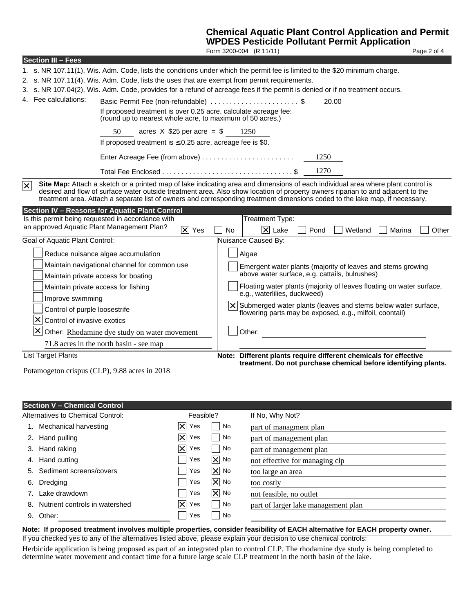# **Chemical Aquatic Plant Control Application and Permit**

|                                                                                                                              |                                                                                                                                                                                                                                                                                                                                                                                                     |                    |                        | <b>WPDES Pesticide Pollutant Permit Application</b>                          |      |         |        |             |  |  |
|------------------------------------------------------------------------------------------------------------------------------|-----------------------------------------------------------------------------------------------------------------------------------------------------------------------------------------------------------------------------------------------------------------------------------------------------------------------------------------------------------------------------------------------------|--------------------|------------------------|------------------------------------------------------------------------------|------|---------|--------|-------------|--|--|
|                                                                                                                              |                                                                                                                                                                                                                                                                                                                                                                                                     |                    |                        | Form 3200-004 (R 11/11)                                                      |      |         |        | Page 2 of 4 |  |  |
| <b>Section III - Fees</b>                                                                                                    |                                                                                                                                                                                                                                                                                                                                                                                                     |                    |                        |                                                                              |      |         |        |             |  |  |
| 1. s. NR 107.11(1), Wis. Adm. Code, lists the conditions under which the permit fee is limited to the \$20 minimum charge.   |                                                                                                                                                                                                                                                                                                                                                                                                     |                    |                        |                                                                              |      |         |        |             |  |  |
| 2. s. NR 107.11(4), Wis. Adm. Code, lists the uses that are exempt from permit requirements.                                 |                                                                                                                                                                                                                                                                                                                                                                                                     |                    |                        |                                                                              |      |         |        |             |  |  |
| 3. s. NR 107.04(2), Wis. Adm. Code, provides for a refund of acreage fees if the permit is denied or if no treatment occurs. |                                                                                                                                                                                                                                                                                                                                                                                                     |                    |                        |                                                                              |      |         |        |             |  |  |
| 4. Fee calculations:                                                                                                         | Basic Permit Fee (non-refundable) \$                                                                                                                                                                                                                                                                                                                                                                |                    |                        |                                                                              |      | 20.00   |        |             |  |  |
|                                                                                                                              | If proposed treatment is over 0.25 acre, calculate acreage fee:<br>(round up to nearest whole acre, to maximum of 50 acres.)                                                                                                                                                                                                                                                                        |                    |                        |                                                                              |      |         |        |             |  |  |
|                                                                                                                              | acres $X$ \$25 per acre = \$ 1250<br>50                                                                                                                                                                                                                                                                                                                                                             |                    |                        |                                                                              |      |         |        |             |  |  |
|                                                                                                                              | If proposed treatment is $\leq 0.25$ acre, acreage fee is \$0.                                                                                                                                                                                                                                                                                                                                      |                    |                        |                                                                              |      |         |        |             |  |  |
|                                                                                                                              |                                                                                                                                                                                                                                                                                                                                                                                                     |                    |                        |                                                                              | 1250 |         |        |             |  |  |
|                                                                                                                              |                                                                                                                                                                                                                                                                                                                                                                                                     |                    |                        |                                                                              | 1270 |         |        |             |  |  |
| $\vert x \vert$                                                                                                              | Site Map: Attach a sketch or a printed map of lake indicating area and dimensions of each individual area where plant control is<br>desired and flow of surface water outside treatment area. Also show location of property owners riparian to and adjacent to the<br>treatment area. Attach a separate list of owners and corresponding treatment dimensions coded to the lake map, if necessary. |                    |                        |                                                                              |      |         |        |             |  |  |
| Section IV - Reasons for Aquatic Plant Control                                                                               |                                                                                                                                                                                                                                                                                                                                                                                                     |                    |                        |                                                                              |      |         |        |             |  |  |
| Is this permit being requested in accordance with<br>an approved Aquatic Plant Management Plan?                              |                                                                                                                                                                                                                                                                                                                                                                                                     |                    |                        | Treatment Type:                                                              |      |         |        |             |  |  |
|                                                                                                                              |                                                                                                                                                                                                                                                                                                                                                                                                     | $ \mathsf{X} $ Yes | <b>No</b>              | $ \mathsf{X} $ Lake                                                          | Pond | Wetland | Marina | Other       |  |  |
| Goal of Aquatic Plant Control:                                                                                               |                                                                                                                                                                                                                                                                                                                                                                                                     |                    |                        | <b>Nuisance Caused By:</b>                                                   |      |         |        |             |  |  |
| Reduce nuisance algae accumulation                                                                                           |                                                                                                                                                                                                                                                                                                                                                                                                     |                    |                        | Algae                                                                        |      |         |        |             |  |  |
| Maintain navigational channel for common use                                                                                 |                                                                                                                                                                                                                                                                                                                                                                                                     |                    |                        | Emergent water plants (majority of leaves and stems growing                  |      |         |        |             |  |  |
| Maintain private access for boating                                                                                          |                                                                                                                                                                                                                                                                                                                                                                                                     |                    |                        | above water surface, e.g. cattails, bulrushes)                               |      |         |        |             |  |  |
| Maintain private access for fishing                                                                                          |                                                                                                                                                                                                                                                                                                                                                                                                     |                    |                        | Floating water plants (majority of leaves floating on water surface,         |      |         |        |             |  |  |
| Improve swimming                                                                                                             |                                                                                                                                                                                                                                                                                                                                                                                                     |                    |                        | e.g., waterlilies, duckweed)                                                 |      |         |        |             |  |  |
| Control of purple loosestrife                                                                                                |                                                                                                                                                                                                                                                                                                                                                                                                     |                    |                        | $ \mathsf{X} $ Submerged water plants (leaves and stems below water surface, |      |         |        |             |  |  |
| x<br>Control of invasive exotics                                                                                             |                                                                                                                                                                                                                                                                                                                                                                                                     |                    |                        | flowering parts may be exposed, e.g., milfoil, coontail)                     |      |         |        |             |  |  |
|                                                                                                                              |                                                                                                                                                                                                                                                                                                                                                                                                     |                    |                        |                                                                              |      |         |        |             |  |  |
| X                                                                                                                            | Other: Rhodamine dye study on water movement                                                                                                                                                                                                                                                                                                                                                        |                    |                        | Other:                                                                       |      |         |        |             |  |  |
| 71.8 acres in the north basin - see map                                                                                      |                                                                                                                                                                                                                                                                                                                                                                                                     |                    |                        |                                                                              |      |         |        |             |  |  |
| <b>List Target Plants</b>                                                                                                    |                                                                                                                                                                                                                                                                                                                                                                                                     |                    |                        | Note: Different plants require different chemicals for effective             |      |         |        |             |  |  |
| Potamogeton crispus (CLP), 9.88 acres in 2018                                                                                |                                                                                                                                                                                                                                                                                                                                                                                                     |                    |                        | treatment. Do not purchase chemical before identifying plants.               |      |         |        |             |  |  |
|                                                                                                                              |                                                                                                                                                                                                                                                                                                                                                                                                     |                    |                        |                                                                              |      |         |        |             |  |  |
|                                                                                                                              |                                                                                                                                                                                                                                                                                                                                                                                                     |                    |                        |                                                                              |      |         |        |             |  |  |
|                                                                                                                              |                                                                                                                                                                                                                                                                                                                                                                                                     |                    |                        |                                                                              |      |         |        |             |  |  |
| <b>Section V - Chemical Control</b>                                                                                          |                                                                                                                                                                                                                                                                                                                                                                                                     |                    |                        |                                                                              |      |         |        |             |  |  |
| <b>Alternatives to Chemical Control:</b>                                                                                     |                                                                                                                                                                                                                                                                                                                                                                                                     | Feasible?          |                        | If No, Why Not?                                                              |      |         |        |             |  |  |
| $ \mathsf{x} $<br>Yes<br>1. Mechanical harvesting                                                                            |                                                                                                                                                                                                                                                                                                                                                                                                     | No                 | part of managment plan |                                                                              |      |         |        |             |  |  |

|    |                                   |                       | and the state of the state of | part of managinent pian             |
|----|-----------------------------------|-----------------------|-------------------------------|-------------------------------------|
|    | 2. Hand pulling                   | $ \mathsf{x} $<br>Yes | No                            | part of management plan             |
|    | 3. Hand raking                    | $ \mathsf{X} $ Yes    | No                            | part of management plan             |
|    | 4. Hand cutting                   | Yes                   | $ \mathsf{X} $ No             | not effective for managing clp      |
|    | 5. Sediment screens/covers        | Yes                   | $ \mathsf{X} $ No             | too large an area                   |
| 6. | Dredging                          | Yes                   | $ \mathsf{X} $ No             | too costly                          |
|    | Lake drawdown                     | Yes                   | $ \mathsf{X} $ No             | not feasible, no outlet             |
|    | 8. Nutrient controls in watershed | $ \mathsf{X} $ Yes    | No                            | part of larger lake management plan |
|    | 9. Other:                         | Yes                   | No                            |                                     |
|    |                                   |                       |                               |                                     |

### **Note: If proposed treatment involves multiple properties, consider feasibility of EACH alternative for EACH property owner.**

If you checked yes to any of the alternatives listed above, please explain your decision to use chemical controls:

Herbicide application is being proposed as part of an integrated plan to control CLP. The rhodamine dye study is being completed to determine water movement and contact time for a future large scale CLP treatment in the north basin of the lake.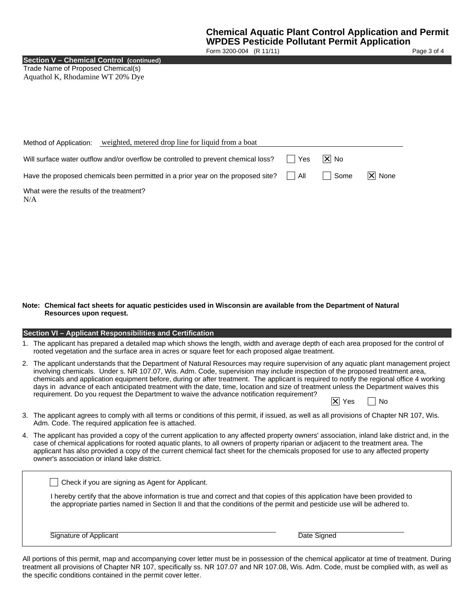Form 3200-004 (R 11/11) Page 3 of 4

**Section V – Chemical Control (continued)**

Trade Name of Proposed Chemical(s) Aquathol K, Rhodamine WT 20% Dye

| weighted, metered drop line for liquid from a boat<br>Method of Application:       |            |        |            |
|------------------------------------------------------------------------------------|------------|--------|------------|
| Will surface water outflow and/or overflow be controlled to prevent chemical loss? | <b>Yes</b> | IXI No |            |
| Have the proposed chemicals been permitted in a prior year on the proposed site?   | l All      | ∣ Some | $ X $ None |
| What were the results of the treatment?<br>N/A                                     |            |        |            |

#### **Note: Chemical fact sheets for aquatic pesticides used in Wisconsin are available from the Department of Natural Resources upon request.**

#### **Section VI – Applicant Responsibilities and Certification**

- 1. The applicant has prepared a detailed map which shows the length, width and average depth of each area proposed for the control of rooted vegetation and the surface area in acres or square feet for each proposed algae treatment.
- 2. The applicant understands that the Department of Natural Resources may require supervision of any aquatic plant management project involving chemicals. Under s. NR 107.07, Wis. Adm. Code, supervision may include inspection of the proposed treatment area, chemicals and application equipment before, during or after treatment. The applicant is required to notify the regional office 4 working days in advance of each anticipated treatment with the date, time, location and size of treatment unless the Department waives this requirement. Do you request the Department to waive the advance notification requirement?  $|\mathsf{X}|$  Yes  $|\cdot|$  No
- 3. The applicant agrees to comply with all terms or conditions of this permit, if issued, as well as all provisions of Chapter NR 107, Wis. Adm. Code. The required application fee is attached.
- 4. The applicant has provided a copy of the current application to any affected property owners' association, inland lake district and, in the case of chemical applications for rooted aquatic plants, to all owners of property riparian or adjacent to the treatment area. The applicant has also provided a copy of the current chemical fact sheet for the chemicals proposed for use to any affected property owner's association or inland lake district.

| Check if you are signing as Agent for Applicant.                                                                                                                                                                                                     |             |
|------------------------------------------------------------------------------------------------------------------------------------------------------------------------------------------------------------------------------------------------------|-------------|
| I hereby certify that the above information is true and correct and that copies of this application have been provided to<br>the appropriate parties named in Section II and that the conditions of the permit and pesticide use will be adhered to. |             |
| Signature of Applicant                                                                                                                                                                                                                               | Date Signed |

All portions of this permit, map and accompanying cover letter must be in possession of the chemical applicator at time of treatment. During treatment all provisions of Chapter NR 107, specifically ss. NR 107.07 and NR 107.08, Wis. Adm. Code, must be complied with, as well as the specific conditions contained in the permit cover letter.